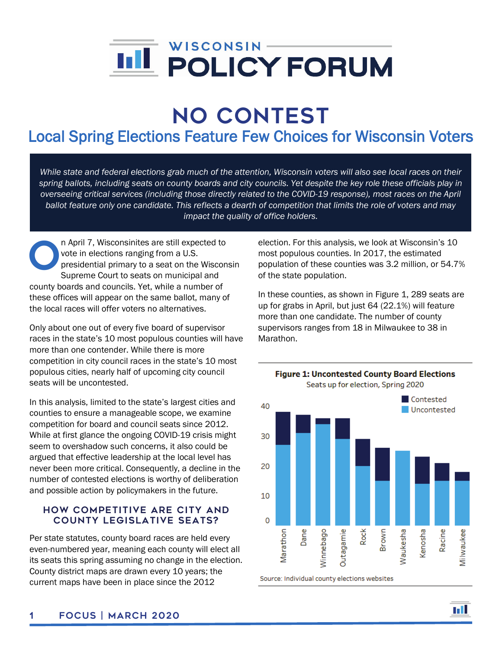

# No Contest

## Local Spring Elections Feature Few Choices for Wisconsin Voters

*While state and federal elections grab much of the attention, Wisconsin voters will also see local races on their spring ballots, including seats on county boards and city councils. Yet despite the key role these officials play in overseeing critical services (including those directly related to the COVID-19 response), most races on the April ballot feature only one candidate. This reflects a dearth of competition that limits the role of voters and may impact the quality of office holders.*

n April 7, Wisconsinites are still expected to vote in elections ranging from a U.S. presidential primary to a seat on the Wisconsin Supreme Court to seats on municipal and county boards and councils. Yet, while a number of these offices will appear on the same ballot, many of the local races will offer voters no alternatives. O

Only about one out of every five board of supervisor races in the state's 10 most populous counties will have more than one contender. While there is more competition in city council races in the state's 10 most populous cities, nearly half of upcoming city council seats will be uncontested.

In this analysis, limited to the state's largest cities and counties to ensure a manageable scope, we examine competition for board and council seats since 2012. While at first glance the ongoing COVID-19 crisis might seem to overshadow such concerns, it also could be argued that effective leadership at the local level has never been more critical. Consequently, a decline in the number of contested elections is worthy of deliberation and possible action by policymakers in the future.

### How Competitive Are City and County Legislative Seats?

Per state statutes, county board races are held every even-numbered year, meaning each county will elect all its seats this spring assuming no change in the election. County district maps are drawn every 10 years; the current maps have been in place since the 2012

election. For this analysis, we look at Wisconsin's 10 most populous counties. In 2017, the estimated population of these counties was 3.2 million, or 54.7% of the state population.

In these counties, as shown in Figure 1, 289 seats are up for grabs in April, but just 64 (22.1%) will feature more than one candidate. The number of county supervisors ranges from 18 in Milwaukee to 38 in Marathon.



**Figure 1: Uncontested County Board Elections**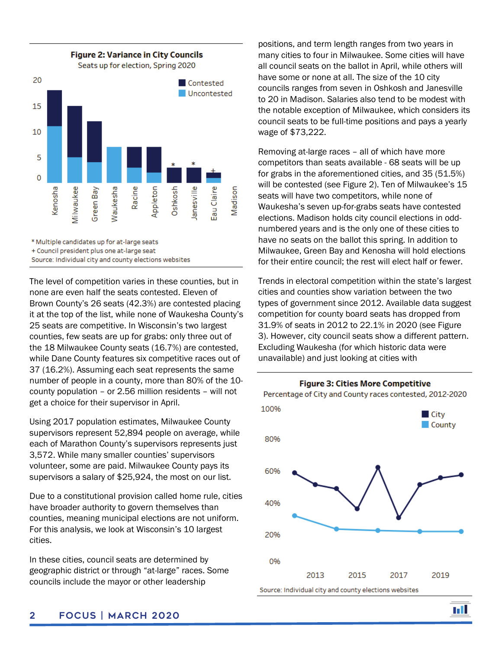

\* Multiple candidates up for at-large seats

+ Council president plus one at-large seat

Source: Individual city and county elections websites

The level of competition varies in these counties, but in none are even half the seats contested. Eleven of Brown County's 26 seats (42.3%) are contested placing it at the top of the list, while none of Waukesha County's 25 seats are competitive. In Wisconsin's two largest counties, few seats are up for grabs: only three out of the 18 Milwaukee County seats (16.7%) are contested, while Dane County features six competitive races out of 37 (16.2%). Assuming each seat represents the same number of people in a county, more than 80% of the 10 county population – or 2.56 million residents – will not get a choice for their supervisor in April.

Using 2017 population estimates, Milwaukee County supervisors represent 52,894 people on average, while each of Marathon County's supervisors represents just 3,572. While many smaller counties' supervisors volunteer, some are paid. Milwaukee County pays its supervisors a salary of \$25,924, the most on our list.

Due to a constitutional provision called home rule, cities have broader authority to govern themselves than counties, meaning municipal elections are not uniform. For this analysis, we look at Wisconsin's 10 largest cities.

In these cities, council seats are determined by geographic district or through "at-large" races. Some councils include the mayor or other leadership

positions, and term length ranges from two years in many cities to four in Milwaukee. Some cities will have all council seats on the ballot in April, while others will have some or none at all. The size of the 10 city councils ranges from seven in Oshkosh and Janesville to 20 in Madison. Salaries also tend to be modest with the notable exception of Milwaukee, which considers its council seats to be full-time positions and pays a yearly wage of \$73,222.

Removing at-large races – all of which have more competitors than seats available - 68 seats will be up for grabs in the aforementioned cities, and 35 (51.5%) will be contested (see Figure 2). Ten of Milwaukee's 15 seats will have two competitors, while none of Waukesha's seven up-for-grabs seats have contested elections. Madison holds city council elections in oddnumbered years and is the only one of these cities to have no seats on the ballot this spring. In addition to Milwaukee, Green Bay and Kenosha will hold elections for their entire council; the rest will elect half or fewer.

Trends in electoral competition within the state's largest cities and counties show variation between the two types of government since 2012. Available data suggest competition for county board seats has dropped from 31.9% of seats in 2012 to 22.1% in 2020 (see Figure 3). However, city council seats show a different pattern. Excluding Waukesha (for which historic data were unavailable) and just looking at cities with